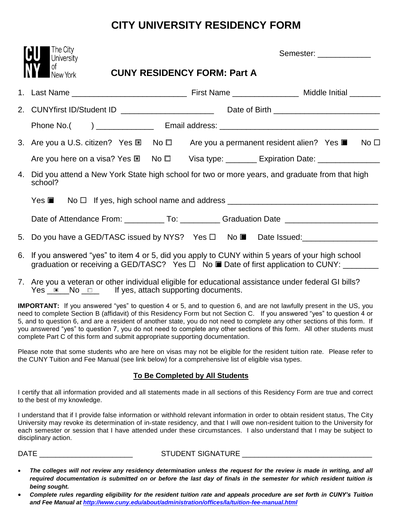# **CITY UNIVERSITY RESIDENCY FORM**

|    | The City<br><b>University</b>                                                                                                                                                                   |                                    | Semester: _____________ |  |
|----|-------------------------------------------------------------------------------------------------------------------------------------------------------------------------------------------------|------------------------------------|-------------------------|--|
|    | оf<br>New York                                                                                                                                                                                  | <b>CUNY RESIDENCY FORM: Part A</b> |                         |  |
|    |                                                                                                                                                                                                 |                                    |                         |  |
|    |                                                                                                                                                                                                 |                                    |                         |  |
|    |                                                                                                                                                                                                 |                                    |                         |  |
|    | 3. Are you a U.S. citizen? Yes $\square$ No $\square$ Are you a permanent resident alien? Yes $\square$ No $\square$                                                                            |                                    |                         |  |
|    | Are you here on a visa? Yes ■ No ■ Visa type: _______ Expiration Date: _______________                                                                                                          |                                    |                         |  |
| 4. | Did you attend a New York State high school for two or more years, and graduate from that high<br>school?                                                                                       |                                    |                         |  |
|    | Yes ■ No □ If yes, high school name and address ________________________________                                                                                                                |                                    |                         |  |
|    | Date of Attendance From: _____________To: _____________Graduation Date _____________________________                                                                                            |                                    |                         |  |
|    | 5. Do you have a GED/TASC issued by NYS? Yes □ No ■ Date Issued: _______________                                                                                                                |                                    |                         |  |
|    | 6. If you answered "yes" to item 4 or 5, did you apply to CUNY within 5 years of your high school<br>graduation or receiving a GED/TASC? Yes □ No ■ Date of first application to CUNY: ________ |                                    |                         |  |

7. Are you a veteran or other individual eligible for educational assistance under federal GI bills? Yes  $\Box$  No  $\Box$  If yes, attach supporting documents.

**IMPORTANT:** If you answered "yes" to question 4 or 5, and to question 6, and are not lawfully present in the US, you need to complete Section B (affidavit) of this Residency Form but not Section C. If you answered "yes" to question 4 or 5, and to question 6, and are a resident of another state, you do not need to complete any other sections of this form. If you answered "yes" to question 7, you do not need to complete any other sections of this form. All other students must complete Part C of this form and submit appropriate supporting documentation.

Please note that some students who are here on visas may not be eligible for the resident tuition rate. Please refer to the CUNY Tuition and Fee Manual (see link below) for a comprehensive list of eligible visa types.

#### **To Be Completed by All Students**

I certify that all information provided and all statements made in all sections of this Residency Form are true and correct to the best of my knowledge.

I understand that if I provide false information or withhold relevant information in order to obtain resident status, The City University may revoke its determination of in-state residency, and that I will owe non-resident tuition to the University for each semester or session that I have attended under these circumstances. I also understand that I may be subject to disciplinary action.

DATE \_\_\_\_\_\_\_\_\_\_\_\_\_\_\_\_\_\_\_\_\_\_\_ STUDENT SIGNATURE \_\_\_\_\_\_\_\_\_\_\_\_\_\_\_\_\_\_\_\_\_\_\_\_\_\_\_\_\_\_\_\_

- *The colleges will not review any residency determination unless the request for the review is made in writing, and all required documentation is submitted on or before the last day of finals in the semester for which resident tuition is being sought.*
- *Complete rules regarding eligibility for the resident tuition rate and appeals procedure are set forth in CUNY's Tuition and Fee Manual a[t http://www.cuny.edu/about/administration/offices/la/tuition-fee-manual.html](http://www.cuny.edu/about/administration/offices/la/tuition-fee-manual.html)*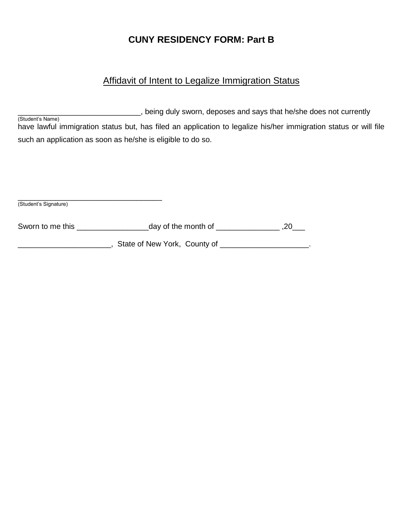## **CUNY RESIDENCY FORM: Part B**

#### Affidavit of Intent to Legalize Immigration Status

Local Lieng duly sworn, deposes and says that he/she does not currently (Student's Name) have lawful immigration status but, has filed an application to legalize his/her immigration status or will file such an application as soon as he/she is eligible to do so.

| (Student's Signature) |  |  |
|-----------------------|--|--|

| Sworn to me this | day of the month of |  |
|------------------|---------------------|--|
|------------------|---------------------|--|

Latter of New York, County of \_\_\_\_\_\_\_\_\_\_\_\_\_\_\_\_\_\_\_\_\_\_\_\_\_.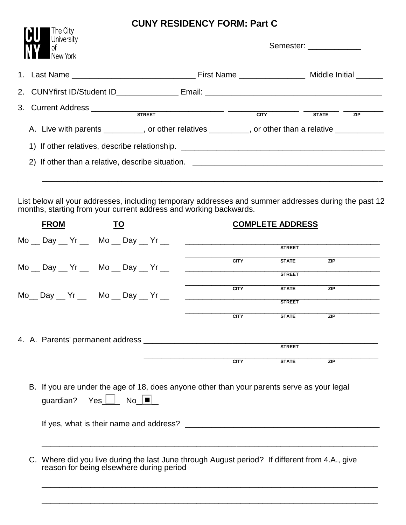## **CUNY RESIDENCY FORM: Part C**

| The City<br>University<br>IJU<br>of<br>New York                                  | 0011 REGIDEROT I ORNI LARO                                                                       |  | Semester: _____________ |            |  |  |
|----------------------------------------------------------------------------------|--------------------------------------------------------------------------------------------------|--|-------------------------|------------|--|--|
|                                                                                  |                                                                                                  |  |                         |            |  |  |
|                                                                                  |                                                                                                  |  |                         |            |  |  |
|                                                                                  |                                                                                                  |  | <b>STATE</b>            | <b>ZIP</b> |  |  |
|                                                                                  | A. Live with parents _________, or other relatives ________, or other than a relative __________ |  |                         |            |  |  |
| 1) If other relatives, describe relationship. __________________________________ |                                                                                                  |  |                         |            |  |  |
|                                                                                  |                                                                                                  |  |                         |            |  |  |
|                                                                                  |                                                                                                  |  |                         |            |  |  |

List below all your addresses, including temporary addresses and summer addresses during the past 12 months, starting from your current address and working backwards.

| <b>FROM</b>                                                  | <b>TO</b> |                                                                                                | <b>COMPLETE ADDRESS</b> |                  |
|--------------------------------------------------------------|-----------|------------------------------------------------------------------------------------------------|-------------------------|------------------|
| $Mo$ __ Day __ Yr __ Mo __ Day __ Yr __                      |           |                                                                                                | <b>STREET</b>           |                  |
|                                                              |           |                                                                                                |                         |                  |
| $Mo$ _ Day _ Yr _ Mo _ Day _ Yr _                            |           | <b>CITY</b>                                                                                    | <b>STATE</b>            | $\overline{ZIP}$ |
|                                                              |           |                                                                                                | <b>STREET</b>           |                  |
| Mo__ Day __ Yr __  Mo __ Day __ Yr __                        |           | <b>CITY</b>                                                                                    | <b>STATE</b>            | <b>ZIP</b>       |
|                                                              |           |                                                                                                | <b>STREET</b>           |                  |
|                                                              |           | <b>CITY</b>                                                                                    | <b>STATE</b>            | <b>ZIP</b>       |
|                                                              |           |                                                                                                |                         |                  |
|                                                              |           |                                                                                                | <b>STREET</b>           |                  |
|                                                              |           |                                                                                                |                         |                  |
|                                                              |           | <b>CITY</b>                                                                                    | <b>STATE</b>            | <b>ZIP</b>       |
| guardian? Yes $\boxed{\phantom{a}}$ No $\boxed{\phantom{a}}$ |           | B. If you are under the age of 18, does anyone other than your parents serve as your legal     |                         |                  |
|                                                              |           |                                                                                                |                         |                  |
| reason for being elsewhere during period                     |           | C. Where did you live during the last June through August period? If different from 4.A., give |                         |                  |

\_\_\_\_\_\_\_\_\_\_\_\_\_\_\_\_\_\_\_\_\_\_\_\_\_\_\_\_\_\_\_\_\_\_\_\_\_\_\_\_\_\_\_\_\_\_\_\_\_\_\_\_\_\_\_\_\_\_\_\_\_\_\_\_\_\_\_\_\_\_\_\_\_\_\_\_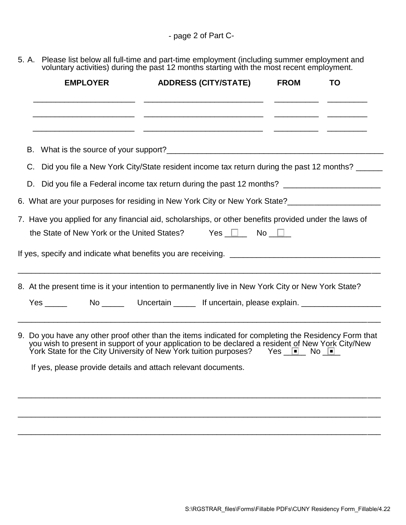5. A. Please list below all full-time and part-time employment (including summer employment and voluntary activities) during the past 12 months starting with the most recent employment.

| <b>EMPLOYER</b>                                                                                                                                                                                                                                                                                                                                             | <b>ADDRESS (CITY/STATE)</b>                                                                                            | <b>FROM</b> | TO |  |  |  |
|-------------------------------------------------------------------------------------------------------------------------------------------------------------------------------------------------------------------------------------------------------------------------------------------------------------------------------------------------------------|------------------------------------------------------------------------------------------------------------------------|-------------|----|--|--|--|
|                                                                                                                                                                                                                                                                                                                                                             | <u> 2008 - Jan Barristo, Amerikaanse konstantinoplantinoplantinoplantinoplantinoplantinoplantinoplantinoplantinopl</u> |             |    |  |  |  |
| В.                                                                                                                                                                                                                                                                                                                                                          |                                                                                                                        |             |    |  |  |  |
| C.                                                                                                                                                                                                                                                                                                                                                          | Did you file a New York City/State resident income tax return during the past 12 months?                               |             |    |  |  |  |
| D.                                                                                                                                                                                                                                                                                                                                                          |                                                                                                                        |             |    |  |  |  |
|                                                                                                                                                                                                                                                                                                                                                             | 6. What are your purposes for residing in New York City or New York State?_________________________                    |             |    |  |  |  |
| 7. Have you applied for any financial aid, scholarships, or other benefits provided under the laws of<br>the State of New York or the United States? Yes $\Box$ No $\Box$<br>If yes, specify and indicate what benefits you are receiving.                                                                                                                  |                                                                                                                        |             |    |  |  |  |
| <u> 1989 - Johann Stoff, amerikansk politiker (d. 1989)</u><br>8. At the present time is it your intention to permanently live in New York City or New York State?<br>$Yes \_\_$                                                                                                                                                                            |                                                                                                                        |             |    |  |  |  |
| 9. Do you have any other proof other than the items indicated for completing the Residency Form that<br>you wish to present in support of your application to be declared a resident of New York City/New<br>York State for the City University of New York tuition purposes? Yes 1. No 1.<br>If yes, please provide details and attach relevant documents. |                                                                                                                        |             |    |  |  |  |
|                                                                                                                                                                                                                                                                                                                                                             |                                                                                                                        |             |    |  |  |  |

\_\_\_\_\_\_\_\_\_\_\_\_\_\_\_\_\_\_\_\_\_\_\_\_\_\_\_\_\_\_\_\_\_\_\_\_\_\_\_\_\_\_\_\_\_\_\_\_\_\_\_\_\_\_\_\_\_\_\_\_\_\_\_\_\_\_\_\_\_\_\_\_\_\_\_\_\_\_\_\_\_\_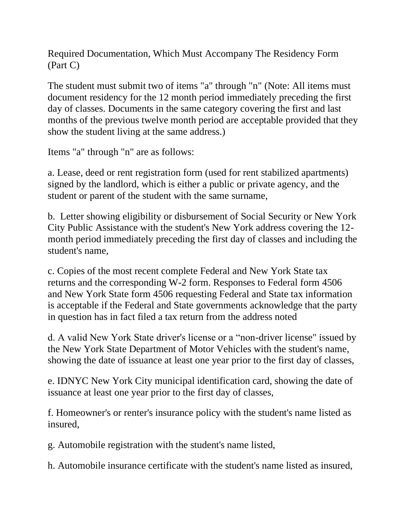Required Documentation, Which Must Accompany The Residency Form (Part C)

The student must submit two of items "a" through "n" (Note: All items must document residency for the 12 month period immediately preceding the first day of classes. Documents in the same category covering the first and last months of the previous twelve month period are acceptable provided that they show the student living at the same address.)

Items "a" through "n" are as follows:

a. Lease, deed or rent registration form (used for rent stabilized apartments) signed by the landlord, which is either a public or private agency, and the student or parent of the student with the same surname,

b. Letter showing eligibility or disbursement of Social Security or New York City Public Assistance with the student's New York address covering the 12 month period immediately preceding the first day of classes and including the student's name,

c. Copies of the most recent complete Federal and New York State tax returns and the corresponding W-2 form. Responses to Federal form 4506 and New York State form 4506 requesting Federal and State tax information is acceptable if the Federal and State governments acknowledge that the party in question has in fact filed a tax return from the address noted

d. A valid New York State driver's license or a "non-driver license" issued by the New York State Department of Motor Vehicles with the student's name, showing the date of issuance at least one year prior to the first day of classes,

e. IDNYC New York City municipal identification card, showing the date of issuance at least one year prior to the first day of classes,

f. Homeowner's or renter's insurance policy with the student's name listed as insured,

g. Automobile registration with the student's name listed,

h. Automobile insurance certificate with the student's name listed as insured,